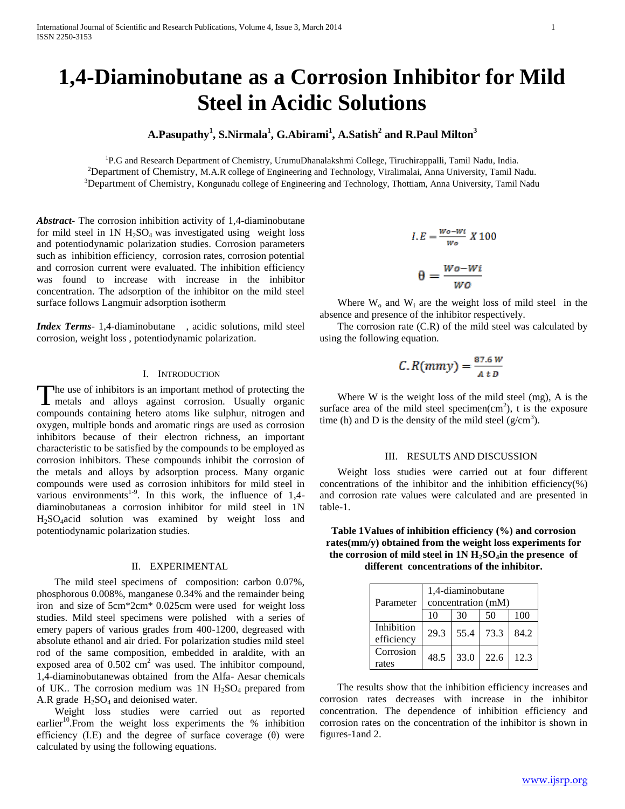# **1,4-Diaminobutane as a Corrosion Inhibitor for Mild Steel in Acidic Solutions**

# **A.Pasupathy<sup>1</sup> , S.Nirmala<sup>1</sup> , G.Abirami<sup>1</sup> , A.Satish<sup>2</sup> and R.Paul Milton<sup>3</sup>**

<sup>1</sup>P.G and Research Department of Chemistry, UrumuDhanalakshmi College, Tiruchirappalli, Tamil Nadu, India. <sup>2</sup>Department of Chemistry, M.A.R college of Engineering and Technology, Viralimalai, Anna University, Tamil Nadu. <sup>3</sup>Department of Chemistry, Kongunadu college of Engineering and Technology, Thottiam, Anna University, Tamil Nadu

*Abstract***-** The corrosion inhibition activity of 1,4-diaminobutane for mild steel in  $1N H<sub>2</sub>SO<sub>4</sub>$  was investigated using weight loss and potentiodynamic polarization studies. Corrosion parameters such as inhibition efficiency, corrosion rates, corrosion potential and corrosion current were evaluated. The inhibition efficiency was found to increase with increase in the inhibitor concentration. The adsorption of the inhibitor on the mild steel surface follows Langmuir adsorption isotherm

*Index Terms*- 1,4-diaminobutane , acidic solutions, mild steel corrosion, weight loss , potentiodynamic polarization.

### I. INTRODUCTION

The use of inhibitors is an important method of protecting the The use of inhibitors is an important method of protecting the metals and alloys against corrosion. Usually organic compounds containing hetero atoms like sulphur, nitrogen and oxygen, multiple bonds and aromatic rings are used as corrosion inhibitors because of their electron richness, an important characteristic to be satisfied by the compounds to be employed as corrosion inhibitors. These compounds inhibit the corrosion of the metals and alloys by adsorption process. Many organic compounds were used as corrosion inhibitors for mild steel in various environments<sup>1-9</sup>. In this work, the influence of 1,4diaminobutaneas a corrosion inhibitor for mild steel in 1N H2SO4acid solution was examined by weight loss and potentiodynamic polarization studies.

#### II. EXPERIMENTAL

 The mild steel specimens of composition: carbon 0.07%, phosphorous 0.008%, manganese 0.34% and the remainder being iron and size of 5cm\*2cm\* 0.025cm were used for weight loss studies. Mild steel specimens were polished with a series of emery papers of various grades from 400-1200, degreased with absolute ethanol and air dried. For polarization studies mild steel rod of the same composition, embedded in araldite, with an exposed area of  $0.502 \text{ cm}^2$  was used. The inhibitor compound, 1,4-diaminobutanewas obtained from the Alfa- Aesar chemicals of UK.. The corrosion medium was  $1N H_2SO_4$  prepared from A.R grade  $H_2SO_4$  and deionised water.

 Weight loss studies were carried out as reported earlier<sup>10</sup>. From the weight loss experiments the  $%$  inhibition efficiency (I.E) and the degree of surface coverage  $(\theta)$  were calculated by using the following equations.

$$
I.E = \frac{w_0 - w_i}{w_0} X 100
$$

$$
\theta = \frac{W_0 - W_0}{W_0}
$$

Where  $W_0$  and  $W_i$  are the weight loss of mild steel in the absence and presence of the inhibitor respectively.

 The corrosion rate (C.R) of the mild steel was calculated by using the following equation.

$$
C.R(mmy) = \frac{87.6 W}{A t D}
$$

 Where W is the weight loss of the mild steel (mg), A is the surface area of the mild steel specimen $(cm<sup>2</sup>)$ , t is the exposure time (h) and D is the density of the mild steel  $(g/cm<sup>3</sup>)$ .

# III. RESULTS AND DISCUSSION

 Weight loss studies were carried out at four different concentrations of the inhibitor and the inhibition efficiency(%) and corrosion rate values were calculated and are presented in table-1.

**Table 1Values of inhibition efficiency (%) and corrosion rates(mm/y) obtained from the weight loss experiments for**  the corrosion of mild steel in  $1N H_2SO_4$  in the presence of **different concentrations of the inhibitor.**

| Parameter                | 1,4-diaminobutane<br>concentration (mM) |      |      |      |  |
|--------------------------|-----------------------------------------|------|------|------|--|
|                          | 10                                      | 30   | 50   | 100  |  |
| Inhibition<br>efficiency | 29.3                                    | 55.4 | 73.3 | 84.2 |  |
| Corrosion<br>rates       | 48.5                                    | 33.0 | 22.6 | 12.3 |  |

 The results show that the inhibition efficiency increases and corrosion rates decreases with increase in the inhibitor concentration. The dependence of inhibition efficiency and corrosion rates on the concentration of the inhibitor is shown in figures-1and 2.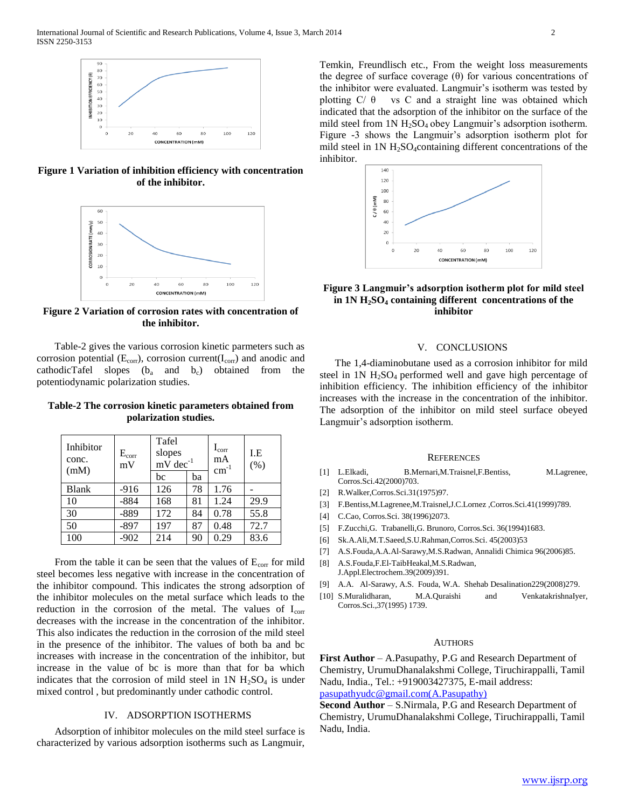

**Figure 1 Variation of inhibition efficiency with concentration of the inhibitor.**



**Figure 2 Variation of corrosion rates with concentration of the inhibitor.**

 Table-2 gives the various corrosion kinetic parmeters such as corrosion potential ( $E_{corr}$ ), corrosion current( $I_{corr}$ ) and anodic and cathodicTafel slopes  $(b_a \text{ and } b_c)$  obtained from the potentiodynamic polarization studies.

**Table-2 The corrosion kinetic parameters obtained from polarization studies.**

| Inhibitor<br>conc.<br>(mM) | $E_{\rm corr}$<br>mV | Tafel<br>slopes<br>mV dec <sup>-1</sup> |    | $\rm I_{corr}$<br>mA<br>$\text{cm}^{-1}$ | LE.<br>(% ) |
|----------------------------|----------------------|-----------------------------------------|----|------------------------------------------|-------------|
|                            |                      | bc                                      | ba |                                          |             |
| <b>Blank</b>               | $-916$               | 126                                     | 78 | 1.76                                     |             |
| 10                         | $-884$               | 168                                     | 81 | 1.24                                     | 29.9        |
| 30                         | $-889$               | 172                                     | 84 | 0.78                                     | 55.8        |
| 50                         | $-897$               | 197                                     | 87 | 0.48                                     | 72.7        |
| 100                        | $-902$               | 214                                     | 90 | 0.29                                     | 83.6        |

From the table it can be seen that the values of  $E_{\text{corr}}$  for mild steel becomes less negative with increase in the concentration of the inhibitor compound. This indicates the strong adsorption of the inhibitor molecules on the metal surface which leads to the reduction in the corrosion of the metal. The values of  $I_{\text{corr}}$ decreases with the increase in the concentration of the inhibitor. This also indicates the reduction in the corrosion of the mild steel in the presence of the inhibitor. The values of both ba and bc increases with increase in the concentration of the inhibitor, but increase in the value of bc is more than that for ba which indicates that the corrosion of mild steel in  $1N H_2SO_4$  is under mixed control , but predominantly under cathodic control.

## IV. ADSORPTION ISOTHERMS

 Adsorption of inhibitor molecules on the mild steel surface is characterized by various adsorption isotherms such as Langmuir,

Temkin, Freundlisch etc., From the weight loss measurements the degree of surface coverage  $(\theta)$  for various concentrations of the inhibitor were evaluated. Langmuir's isotherm was tested by plotting  $C/ \theta$  vs C and a straight line was obtained which indicated that the adsorption of the inhibitor on the surface of the mild steel from  $1N H_2SO_4$  obey Langmuir's adsorption isotherm. Figure -3 shows the Langmuir's adsorption isotherm plot for mild steel in  $1N H_2SO_4$ containing different concentrations of the inhibitor.



# **Figure 3 Langmuir's adsorption isotherm plot for mild steel in 1N H2SO<sup>4</sup> containing different concentrations of the inhibitor**

#### V. CONCLUSIONS

 The 1,4-diaminobutane used as a corrosion inhibitor for mild steel in  $1N H<sub>2</sub>SO<sub>4</sub>$  performed well and gave high percentage of inhibition efficiency. The inhibition efficiency of the inhibitor increases with the increase in the concentration of the inhibitor. The adsorption of the inhibitor on mild steel surface obeyed Langmuir's adsorption isotherm.

#### **REFERENCES**

- [1] L.Elkadi, B.Mernari,M.Traisnel,F.Bentiss, M.Lagrenee, Corros.Sci.42(2000)703.
- [2] R.Walker,Corros.Sci.31(1975)97.
- [3] F.Bentiss,M.Lagrenee,M.Traisnel,J.C.Lornez ,Corros.Sci.41(1999)789.
- [4] C.Cao, Corros.Sci. 38(1996)2073.
- [5] F.Zucchi,G. Trabanelli,G. Brunoro, Corros.Sci. 36(1994)1683.
- [6] Sk.A.Ali,M.T.Saeed,S.U.Rahman,Corros.Sci. 45(2003)53
- [7] A.S.Fouda,A.A.Al-Sarawy,M.S.Radwan, Annalidi Chimica 96(2006)85.
- [8] A.S.Fouda,F.El-TaibHeakal,M.S.Radwan, J.Appl.Electrochem.39(2009)391.
- [9] A.A. Al-Sarawy, A.S. Fouda, W.A. Shehab Desalination229(2008)279.
- [10] S.Muralidharan, M.A.Quraishi and VenkatakrishnaIyer, Corros.Sci.,37(1995) 1739.

#### **AUTHORS**

**First Author** – A.Pasupathy, P.G and Research Department of Chemistry, UrumuDhanalakshmi College, Tiruchirappalli, Tamil Nadu, India., Tel.: +919003427375, E-mail address:

[pasupathyudc@gmail.com\(A.Pasupathy\)](mailto:pasupathyudc@gmail.com(A.Pasupathy))

**Second Author** – S.Nirmala, P.G and Research Department of Chemistry, UrumuDhanalakshmi College, Tiruchirappalli, Tamil Nadu, India.